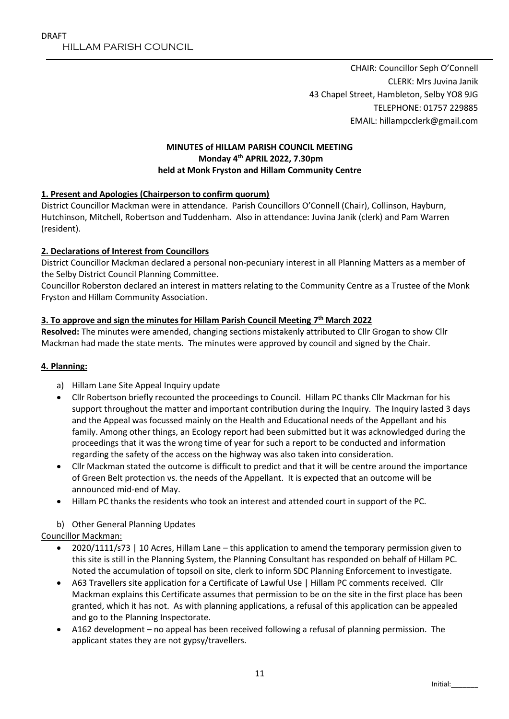CHAIR: Councillor Seph O'Connell CLERK: Mrs Juvina Janik 43 Chapel Street, Hambleton, Selby YO8 9JG TELEPHONE: 01757 229885 EMAIL: hillampcclerk@gmail.com

## **MINUTES of HILLAM PARISH COUNCIL MEETING Monday 4 th APRIL 2022, 7.30pm held at Monk Fryston and Hillam Community Centre**

# **1. Present and Apologies (Chairperson to confirm quorum)**

District Councillor Mackman were in attendance. Parish Councillors O'Connell (Chair), Collinson, Hayburn, Hutchinson, Mitchell, Robertson and Tuddenham. Also in attendance: Juvina Janik (clerk) and Pam Warren (resident).

# **2. Declarations of Interest from Councillors**

District Councillor Mackman declared a personal non-pecuniary interest in all Planning Matters as a member of the Selby District Council Planning Committee.

Councillor Roberston declared an interest in matters relating to the Community Centre as a Trustee of the Monk Fryston and Hillam Community Association.

## **3. To approve and sign the minutes for Hillam Parish Council Meeting 7 th March 2022**

**Resolved:** The minutes were amended, changing sections mistakenly attributed to Cllr Grogan to show Cllr Mackman had made the state ments. The minutes were approved by council and signed by the Chair.

## **4. Planning:**

- a) Hillam Lane Site Appeal Inquiry update
- Cllr Robertson briefly recounted the proceedings to Council. Hillam PC thanks Cllr Mackman for his support throughout the matter and important contribution during the Inquiry. The Inquiry lasted 3 days and the Appeal was focussed mainly on the Health and Educational needs of the Appellant and his family. Among other things, an Ecology report had been submitted but it was acknowledged during the proceedings that it was the wrong time of year for such a report to be conducted and information regarding the safety of the access on the highway was also taken into consideration.
- Cllr Mackman stated the outcome is difficult to predict and that it will be centre around the importance of Green Belt protection vs. the needs of the Appellant. It is expected that an outcome will be announced mid-end of May.
- Hillam PC thanks the residents who took an interest and attended court in support of the PC.

## b) Other General Planning Updates

Councillor Mackman:

- 2020/1111/s73 | 10 Acres, Hillam Lane this application to amend the temporary permission given to this site is still in the Planning System, the Planning Consultant has responded on behalf of Hillam PC. Noted the accumulation of topsoil on site, clerk to inform SDC Planning Enforcement to investigate.
- A63 Travellers site application for a Certificate of Lawful Use | Hillam PC comments received. Cllr Mackman explains this Certificate assumes that permission to be on the site in the first place has been granted, which it has not. As with planning applications, a refusal of this application can be appealed and go to the Planning Inspectorate.
- A162 development no appeal has been received following a refusal of planning permission. The applicant states they are not gypsy/travellers.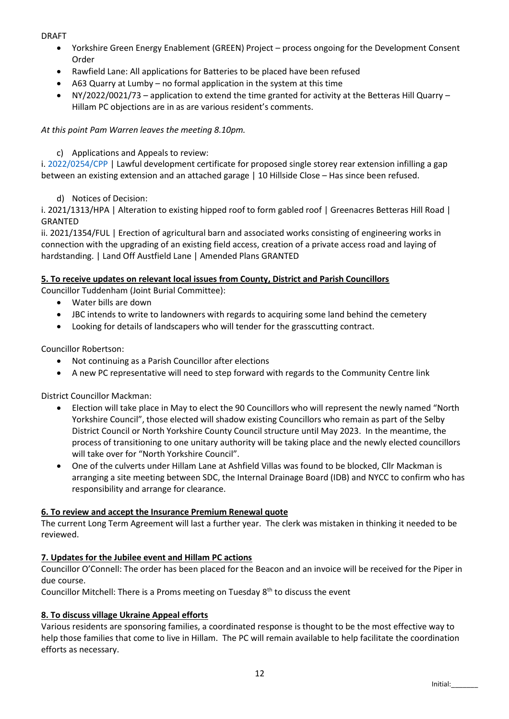DRAFT

- Yorkshire Green Energy Enablement (GREEN) Project process ongoing for the Development Consent Order
- Rawfield Lane: All applications for Batteries to be placed have been refused
- A63 Quarry at Lumby no formal application in the system at this time
- NY/2022/0021/73 application to extend the time granted for activity at the Betteras Hill Quarry Hillam PC objections are in as are various resident's comments.

*At this point Pam Warren leaves the meeting 8.10pm.*

c) Applications and Appeals to review:

i. [2022/0254/CPP](https://public.selby.gov.uk/online-applications/applicationDetails.do?keyVal=R82360NXHK000&activeTab=summary) | Lawful development certificate for proposed single storey rear extension infilling a gap between an existing extension and an attached garage | 10 Hillside Close – Has since been refused.

d) Notices of Decision:

i. 2021/1313/HPA | Alteration to existing hipped roof to form gabled roof | Greenacres Betteras Hill Road | GRANTED

ii. 2021/1354/FUL | Erection of agricultural barn and associated works consisting of engineering works in connection with the upgrading of an existing field access, creation of a private access road and laying of hardstanding. | Land Off Austfield Lane | Amended Plans GRANTED

# **5. To receive updates on relevant local issues from County, District and Parish Councillors**

Councillor Tuddenham (Joint Burial Committee):

- Water bills are down
- JBC intends to write to landowners with regards to acquiring some land behind the cemetery
- Looking for details of landscapers who will tender for the grasscutting contract.

Councillor Robertson:

- Not continuing as a Parish Councillor after elections
- A new PC representative will need to step forward with regards to the Community Centre link

District Councillor Mackman:

- Election will take place in May to elect the 90 Councillors who will represent the newly named "North Yorkshire Council", those elected will shadow existing Councillors who remain as part of the Selby District Council or North Yorkshire County Council structure until May 2023. In the meantime, the process of transitioning to one unitary authority will be taking place and the newly elected councillors will take over for "North Yorkshire Council".
- One of the culverts under Hillam Lane at Ashfield Villas was found to be blocked, Cllr Mackman is arranging a site meeting between SDC, the Internal Drainage Board (IDB) and NYCC to confirm who has responsibility and arrange for clearance.

# **6. To review and accept the Insurance Premium Renewal quote**

The current Long Term Agreement will last a further year. The clerk was mistaken in thinking it needed to be reviewed.

# **7. Updates for the Jubilee event and Hillam PC actions**

Councillor O'Connell: The order has been placed for the Beacon and an invoice will be received for the Piper in due course.

Councillor Mitchell: There is a Proms meeting on Tuesday  $8<sup>th</sup>$  to discuss the event

## **8. To discuss village Ukraine Appeal efforts**

Various residents are sponsoring families, a coordinated response is thought to be the most effective way to help those families that come to live in Hillam. The PC will remain available to help facilitate the coordination efforts as necessary.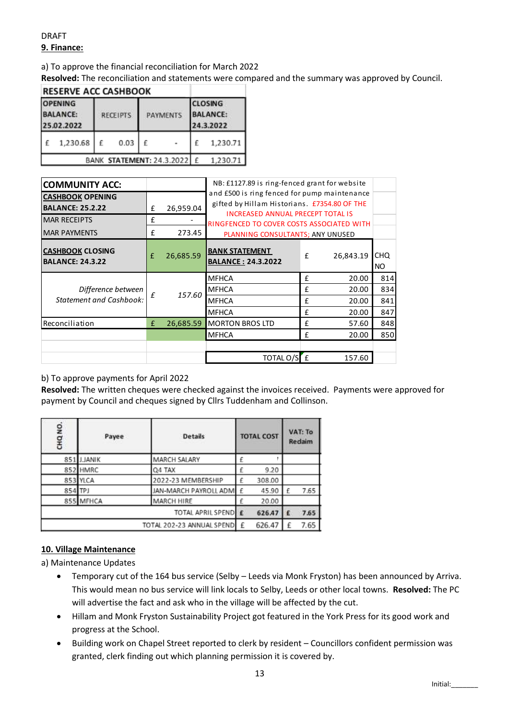# DRAFT **9. Finance:**

#### a) To approve the financial reconciliation for March 2022

**Resolved:** The reconciliation and statements were compared and the summary was approved by Council.

| <b>RESERVE ACC CASHBOOK</b>                     |                           |                 |          |                 |  |                                                |          |  |  |
|-------------------------------------------------|---------------------------|-----------------|----------|-----------------|--|------------------------------------------------|----------|--|--|
| <b>OPENING</b><br><b>BALANCE:</b><br>25.02.2022 |                           | <b>RECEIPTS</b> |          | <b>PAYMENTS</b> |  | <b>CLOSING</b><br><b>BALANCE:</b><br>24.3.2022 |          |  |  |
|                                                 | 1,230.68                  | £               | 0.03     | £               |  |                                                | 1,230.71 |  |  |
|                                                 | BANK STATEMENT: 24.3.2022 |                 | 1,230.71 |                 |  |                                                |          |  |  |

| <b>CASHBOOK OPENING</b><br><b>BALANCE: 25.2.22</b><br><b>MAR RECEIPTS</b><br><b>MAR PAYMENTS</b><br><b>CASHBOOK CLOSING</b><br><b>BALANCE: 24.3.22</b><br>Difference between<br><b>Statement and Cashbook:</b><br>Reconciliation | £<br>£<br>£<br>£<br>£<br>£                                                             | 26,959.04<br>273.45<br>26,685.59<br>157.60                                              | <b>BANK STATEMENT</b><br><b>MFHCA</b><br><b>MFHCA</b><br><b>MFHCA</b>         |                                                    | <b>BALANCE: 24.3.2022</b> |        | £                | and £500 is ring fenced for pump maintenance<br>gifted by Hillam Historians. £7354.80 OF THE<br><b>INCREASED ANNUAL PRECEPT TOTAL IS</b><br>RINGFENCED TO COVER COSTS ASSOCIATED WITH<br>PLANNING CONSULTANTS; ANY UNUSED<br>26,843.19 | CHQ.<br><b>NO</b>                                                                                                                                                    |
|----------------------------------------------------------------------------------------------------------------------------------------------------------------------------------------------------------------------------------|----------------------------------------------------------------------------------------|-----------------------------------------------------------------------------------------|-------------------------------------------------------------------------------|----------------------------------------------------|---------------------------|--------|------------------|----------------------------------------------------------------------------------------------------------------------------------------------------------------------------------------------------------------------------------------|----------------------------------------------------------------------------------------------------------------------------------------------------------------------|
|                                                                                                                                                                                                                                  |                                                                                        |                                                                                         |                                                                               |                                                    |                           |        |                  |                                                                                                                                                                                                                                        |                                                                                                                                                                      |
|                                                                                                                                                                                                                                  |                                                                                        |                                                                                         |                                                                               |                                                    |                           |        |                  |                                                                                                                                                                                                                                        |                                                                                                                                                                      |
|                                                                                                                                                                                                                                  |                                                                                        |                                                                                         |                                                                               |                                                    |                           |        |                  |                                                                                                                                                                                                                                        |                                                                                                                                                                      |
|                                                                                                                                                                                                                                  |                                                                                        |                                                                                         |                                                                               |                                                    |                           |        |                  |                                                                                                                                                                                                                                        |                                                                                                                                                                      |
|                                                                                                                                                                                                                                  |                                                                                        |                                                                                         |                                                                               |                                                    |                           |        |                  |                                                                                                                                                                                                                                        |                                                                                                                                                                      |
|                                                                                                                                                                                                                                  |                                                                                        |                                                                                         |                                                                               |                                                    |                           |        | £                | 814                                                                                                                                                                                                                                    |                                                                                                                                                                      |
|                                                                                                                                                                                                                                  |                                                                                        |                                                                                         |                                                                               |                                                    |                           |        |                  | £<br>20.00                                                                                                                                                                                                                             |                                                                                                                                                                      |
|                                                                                                                                                                                                                                  |                                                                                        |                                                                                         |                                                                               |                                                    |                           |        | £<br>20.00       |                                                                                                                                                                                                                                        | 841                                                                                                                                                                  |
|                                                                                                                                                                                                                                  |                                                                                        |                                                                                         | <b>MFHCA</b>                                                                  |                                                    |                           | £      | 20.00            | 847                                                                                                                                                                                                                                    |                                                                                                                                                                      |
|                                                                                                                                                                                                                                  |                                                                                        | 26,685.59                                                                               | <b>MORTON BROS LTD</b>                                                        |                                                    | £                         | 57.60  | 848              |                                                                                                                                                                                                                                        |                                                                                                                                                                      |
|                                                                                                                                                                                                                                  |                                                                                        |                                                                                         | <b>MFHCA</b>                                                                  |                                                    |                           | £      | 20.00            | 850                                                                                                                                                                                                                                    |                                                                                                                                                                      |
|                                                                                                                                                                                                                                  |                                                                                        |                                                                                         |                                                                               |                                                    |                           |        |                  |                                                                                                                                                                                                                                        |                                                                                                                                                                      |
|                                                                                                                                                                                                                                  |                                                                                        |                                                                                         | TOTAL O/SE                                                                    |                                                    |                           |        | 157.60           |                                                                                                                                                                                                                                        |                                                                                                                                                                      |
| <b>Details</b><br>Payee                                                                                                                                                                                                          |                                                                                        |                                                                                         | <b>TOTAL COST</b>                                                             |                                                    |                           |        |                  |                                                                                                                                                                                                                                        |                                                                                                                                                                      |
|                                                                                                                                                                                                                                  |                                                                                        |                                                                                         |                                                                               | £                                                  |                           |        |                  |                                                                                                                                                                                                                                        |                                                                                                                                                                      |
|                                                                                                                                                                                                                                  |                                                                                        |                                                                                         |                                                                               | £                                                  | 9.20                      |        |                  |                                                                                                                                                                                                                                        |                                                                                                                                                                      |
|                                                                                                                                                                                                                                  | 2022-23 MEMBERSHIP                                                                     |                                                                                         | £                                                                             | 308.00                                             |                           |        |                  |                                                                                                                                                                                                                                        |                                                                                                                                                                      |
|                                                                                                                                                                                                                                  |                                                                                        |                                                                                         |                                                                               | £                                                  | 45.90                     | £      | 7.65             |                                                                                                                                                                                                                                        |                                                                                                                                                                      |
|                                                                                                                                                                                                                                  |                                                                                        |                                                                                         |                                                                               | £                                                  | 20.00                     |        |                  |                                                                                                                                                                                                                                        |                                                                                                                                                                      |
|                                                                                                                                                                                                                                  |                                                                                        |                                                                                         |                                                                               |                                                    |                           |        |                  |                                                                                                                                                                                                                                        |                                                                                                                                                                      |
|                                                                                                                                                                                                                                  |                                                                                        |                                                                                         |                                                                               |                                                    |                           |        |                  |                                                                                                                                                                                                                                        |                                                                                                                                                                      |
| a) Maintenance Updates<br>Temporary cut of the 164 bus service (Selby - Leeds via Monk Fryston) has been anno                                                                                                                    |                                                                                        | This would mean no bus service will link locals to Selby, Leeds or other local towns. R |                                                                               |                                                    |                           |        |                  |                                                                                                                                                                                                                                        |                                                                                                                                                                      |
|                                                                                                                                                                                                                                  | 851 J.JANIK<br>852 HMRC<br>853 YLCA<br>854 TPJ<br>855 MFHCA<br>10. Village Maintenance |                                                                                         | b) To approve payments for April 2022<br>MARCH SALARY<br>Q4 TAX<br>MARCH HIRE | JAN-MARCH PAYROLL ADM<br>TOTAL 202-23 ANNUAL SPEND | TOTAL APRIL SPEND E<br>£  | 626.47 | 626.47<br>£<br>£ | VAT: To<br>Redaim<br>7.65<br>7.65                                                                                                                                                                                                      | Resolved: The written cheques were checked against the invoices received. Payments were a<br>payment by Council and cheques signed by Cllrs Tuddenham and Collinson. |

## b) To approve payments for April 2022

**Resolved:** The written cheques were checked against the invoices received. Payments were approved for payment by Council and cheques signed by Cllrs Tuddenham and Collinson.

| CHQ NO. | Payee                     | <b>Details</b>        |   | <b>TOTAL COST</b> | VAT: To<br>Redaim |      |
|---------|---------------------------|-----------------------|---|-------------------|-------------------|------|
|         | 851 J.JANIK               | MARCH SALARY          |   |                   |                   |      |
|         | 852 HMRC                  | Q4 TAX                |   | 9.20              |                   |      |
|         | 853 YLCA                  | 2022-23 MEMBERSHIP    |   | 308.00            |                   |      |
| 854 TPJ |                           | JAN-MARCH PAYROLL ADM | £ | 45.90             | £                 | 7.65 |
|         | 855 MFHCA                 | <b>MARCH HIRE</b>     |   | 20.00             |                   |      |
|         | TOTAL APRIL SPEND E       |                       |   |                   |                   | 7.65 |
|         | TOTAL 202-23 ANNUAL SPEND |                       |   |                   |                   | 7.65 |

## **10. Village Maintenance**

- Temporary cut of the 164 bus service (Selby Leeds via Monk Fryston) has been announced by Arriva. This would mean no bus service will link locals to Selby, Leeds or other local towns. **Resolved:** The PC will advertise the fact and ask who in the village will be affected by the cut.
- Hillam and Monk Fryston Sustainability Project got featured in the York Press for its good work and progress at the School.
- Building work on Chapel Street reported to clerk by resident Councillors confident permission was